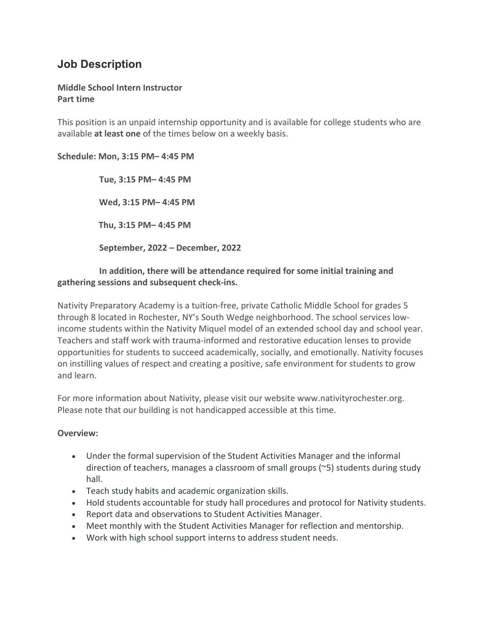# **Job Description**

## **Middle School Intern Instructor Part time**

This position is an unpaid internship opportunity and is available for college students who are available **at least one** of the times below on a weekly basis.

## **Schedule: Mon, 3:15 PM– 4:45 PM**

 **Tue, 3:15 PM– 4:45 PM Wed, 3:15 PM– 4:45 PM Thu, 3:15 PM– 4:45 PM September, 2022 – December, 2022**

## **In addition, there will be attendance required for some initial training and gathering sessions and subsequent check-ins.**

Nativity Preparatory Academy is a tuition-free, private Catholic Middle School for grades 5 through 8 located in Rochester, NY's South Wedge neighborhood. The school services lowincome students within the Nativity Miquel model of an extended school day and school year. Teachers and staff work with trauma-informed and restorative education lenses to provide opportunities for students to succeed academically, socially, and emotionally. Nativity focuses on instilling values of respect and creating a positive, safe environment for students to grow and learn.

For more information about Nativity, please visit our website www.nativityrochester.org. Please note that our building is not handicapped accessible at this time.

### **Overview:**

- Under the formal supervision of the Student Activities Manager and the informal direction of teachers, manages a classroom of small groups (~5) students during study hall.
- Teach study habits and academic organization skills.
- Hold students accountable for study hall procedures and protocol for Nativity students.
- Report data and observations to Student Activities Manager.
- Meet monthly with the Student Activities Manager for reflection and mentorship.
- Work with high school support interns to address student needs.